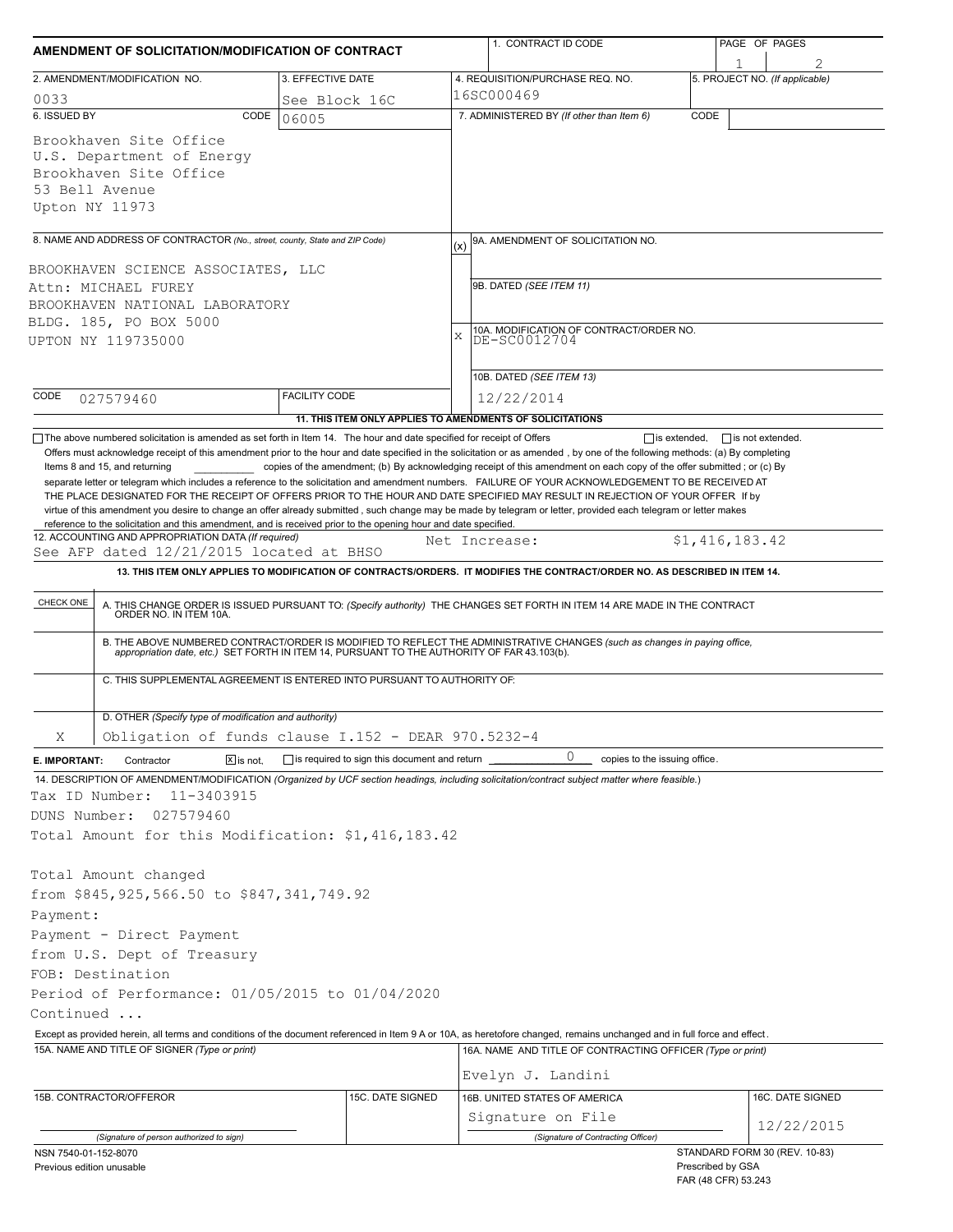| AMENDMENT OF SOLICITATION/MODIFICATION OF CONTRACT                                                                                          |                      |                                                     |          | 1. CONTRACT ID CODE                                                                                                                                                                                                                                                                                                                                                                                                                                                                                                       |      |                                          | PAGE OF PAGES                  |  |
|---------------------------------------------------------------------------------------------------------------------------------------------|----------------------|-----------------------------------------------------|----------|---------------------------------------------------------------------------------------------------------------------------------------------------------------------------------------------------------------------------------------------------------------------------------------------------------------------------------------------------------------------------------------------------------------------------------------------------------------------------------------------------------------------------|------|------------------------------------------|--------------------------------|--|
| 2. AMENDMENT/MODIFICATION NO.                                                                                                               |                      |                                                     |          | 4. REQUISITION/PURCHASE REQ. NO.                                                                                                                                                                                                                                                                                                                                                                                                                                                                                          |      |                                          | 5. PROJECT NO. (If applicable) |  |
| 3. EFFECTIVE DATE<br>16SC000469<br>0033<br>See Block 16C                                                                                    |                      |                                                     |          |                                                                                                                                                                                                                                                                                                                                                                                                                                                                                                                           |      |                                          |                                |  |
| 6. ISSUED BY                                                                                                                                | CODE<br>06005        |                                                     |          | 7. ADMINISTERED BY (If other than Item 6)                                                                                                                                                                                                                                                                                                                                                                                                                                                                                 | CODE |                                          |                                |  |
| Brookhaven Site Office<br>U.S. Department of Energy<br>Brookhaven Site Office<br>53 Bell Avenue<br>Upton NY 11973                           |                      |                                                     |          |                                                                                                                                                                                                                                                                                                                                                                                                                                                                                                                           |      |                                          |                                |  |
| 8. NAME AND ADDRESS OF CONTRACTOR (No., street, county, State and ZIP Code)                                                                 |                      |                                                     |          | 9A. AMENDMENT OF SOLICITATION NO.                                                                                                                                                                                                                                                                                                                                                                                                                                                                                         |      |                                          |                                |  |
| BROOKHAVEN SCIENCE ASSOCIATES, LLC<br>Attn: MICHAEL FUREY<br>BROOKHAVEN NATIONAL LABORATORY<br>BLDG. 185, PO BOX 5000<br>UPTON NY 119735000 |                      |                                                     | (x)<br>X | 9B. DATED (SEE ITEM 11)<br>10A. MODIFICATION OF CONTRACT/ORDER NO.<br>DE-SC0012704<br>10B. DATED (SEE ITEM 13)                                                                                                                                                                                                                                                                                                                                                                                                            |      |                                          |                                |  |
| CODE<br>027579460                                                                                                                           | <b>FACILITY CODE</b> |                                                     |          | 12/22/2014                                                                                                                                                                                                                                                                                                                                                                                                                                                                                                                |      |                                          |                                |  |
|                                                                                                                                             |                      |                                                     |          | 11. THIS ITEM ONLY APPLIES TO AMENDMENTS OF SOLICITATIONS                                                                                                                                                                                                                                                                                                                                                                                                                                                                 |      |                                          |                                |  |
| 12. ACCOUNTING AND APPROPRIATION DATA (If required)<br>See AFP dated 12/21/2015 located at BHSO<br>CHECK ONE                                |                      |                                                     |          | Net Increase:<br>13. THIS ITEM ONLY APPLIES TO MODIFICATION OF CONTRACTS/ORDERS. IT MODIFIES THE CONTRACT/ORDER NO. AS DESCRIBED IN ITEM 14.<br>A. THIS CHANGE ORDER IS ISSUED PURSUANT TO: (Specify authority) THE CHANGES SET FORTH IN ITEM 14 ARE MADE IN THE CONTRACT ORDER NO. IN ITEM 10A.<br>B. THE ABOVE NUMBERED CONTRACT/ORDER IS MODIFIED TO REFLECT THE ADMINISTRATIVE CHANGES (such as changes in paying office, appropriation date, etc.) SET FORTH IN ITEM 14, PURSUANT TO THE AUTHORITY OF FAR 43.103(b). |      | \$1,416,183.42                           |                                |  |
| C. THIS SUPPLEMENTAL AGREEMENT IS ENTERED INTO PURSUANT TO AUTHORITY OF:<br>D. OTHER (Specify type of modification and authority)           |                      |                                                     |          |                                                                                                                                                                                                                                                                                                                                                                                                                                                                                                                           |      |                                          |                                |  |
| Obligation of funds clause I.152 - DEAR 970.5232-4<br>Χ                                                                                     |                      |                                                     |          |                                                                                                                                                                                                                                                                                                                                                                                                                                                                                                                           |      |                                          |                                |  |
| Contractor<br>E. IMPORTANT:                                                                                                                 | $X$ is not.          | $\Box$ is required to sign this document and return |          | 0<br>copies to the issuing office.                                                                                                                                                                                                                                                                                                                                                                                                                                                                                        |      |                                          |                                |  |
| Tax ID Number:<br>11-3403915<br>DUNS Number:<br>027579460<br>Total Amount for this Modification: \$1,416,183.42                             |                      |                                                     |          | 14. DESCRIPTION OF AMENDMENT/MODIFICATION (Organized by UCF section headings, including solicitation/contract subject matter where feasible.)                                                                                                                                                                                                                                                                                                                                                                             |      |                                          |                                |  |
| Total Amount changed<br>from \$845, 925, 566.50 to \$847, 341, 749.92                                                                       |                      |                                                     |          |                                                                                                                                                                                                                                                                                                                                                                                                                                                                                                                           |      |                                          |                                |  |
| Payment:<br>Payment - Direct Payment                                                                                                        |                      |                                                     |          |                                                                                                                                                                                                                                                                                                                                                                                                                                                                                                                           |      |                                          |                                |  |
| from U.S. Dept of Treasury                                                                                                                  |                      |                                                     |          |                                                                                                                                                                                                                                                                                                                                                                                                                                                                                                                           |      |                                          |                                |  |
| FOB: Destination                                                                                                                            |                      |                                                     |          |                                                                                                                                                                                                                                                                                                                                                                                                                                                                                                                           |      |                                          |                                |  |
| Period of Performance: 01/05/2015 to 01/04/2020                                                                                             |                      |                                                     |          |                                                                                                                                                                                                                                                                                                                                                                                                                                                                                                                           |      |                                          |                                |  |
| Continued                                                                                                                                   |                      |                                                     |          |                                                                                                                                                                                                                                                                                                                                                                                                                                                                                                                           |      |                                          |                                |  |
|                                                                                                                                             |                      |                                                     |          | Except as provided herein, all terms and conditions of the document referenced in Item 9 A or 10A, as heretofore changed, remains unchanged and in full force and effect.                                                                                                                                                                                                                                                                                                                                                 |      |                                          |                                |  |
| 15A. NAME AND TITLE OF SIGNER (Type or print)                                                                                               |                      |                                                     |          | 16A. NAME AND TITLE OF CONTRACTING OFFICER (Type or print)                                                                                                                                                                                                                                                                                                                                                                                                                                                                |      |                                          |                                |  |
|                                                                                                                                             |                      |                                                     |          | Evelyn J. Landini                                                                                                                                                                                                                                                                                                                                                                                                                                                                                                         |      |                                          |                                |  |
| 15B. CONTRACTOR/OFFEROR                                                                                                                     |                      | 15C. DATE SIGNED                                    |          | 16B. UNITED STATES OF AMERICA                                                                                                                                                                                                                                                                                                                                                                                                                                                                                             |      |                                          | 16C. DATE SIGNED               |  |
| (Signature of person authorized to sign)                                                                                                    |                      |                                                     |          | Signature on File<br>(Signature of Contracting Officer)                                                                                                                                                                                                                                                                                                                                                                                                                                                                   |      |                                          | 12/22/2015                     |  |
| NSN 7540-01-152-8070<br>Previous edition unusable                                                                                           |                      |                                                     |          |                                                                                                                                                                                                                                                                                                                                                                                                                                                                                                                           |      | Prescribed by GSA<br>FAR (48 CFR) 53.243 | STANDARD FORM 30 (REV. 10-83)  |  |